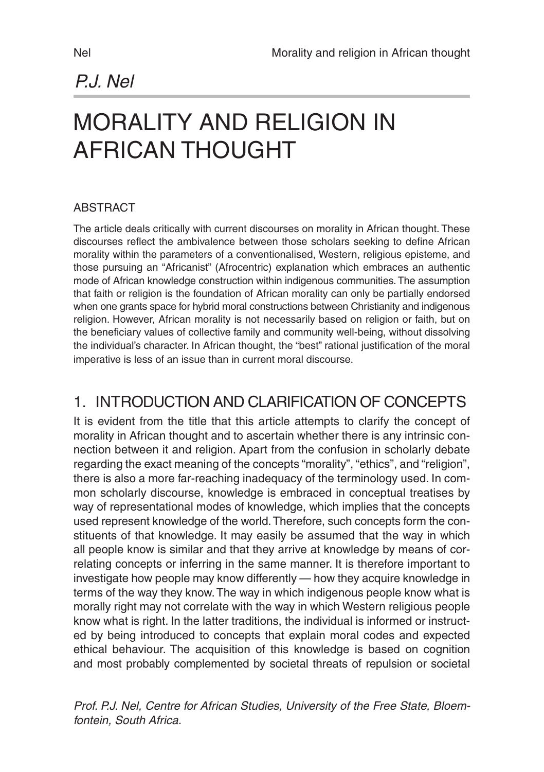## *P.J. Nel*

# Morality and Religion in African Thought

#### **ABSTRACT**

The article deals critically with current discourses on morality in African thought. These discourses reflect the ambivalence between those scholars seeking to define African morality within the parameters of a conventionalised, Western, religious episteme, and those pursuing an "Africanist" (Afrocentric) explanation which embraces an authentic mode of African knowledge construction within indigenous communities. The assumption that faith or religion is the foundation of African morality can only be partially endorsed when one grants space for hybrid moral constructions between Christianity and indigenous religion. However, African morality is not necessarily based on religion or faith, but on the beneficiary values of collective family and community well-being, without dissolving the individual's character. In African thought, the "best" rational justification of the moral imperative is less of an issue than in current moral discourse.

### 1. Introduction and clarification of concepts

It is evident from the title that this article attempts to clarify the concept of morality in African thought and to ascertain whether there is any intrinsic connection between it and religion. Apart from the confusion in scholarly debate regarding the exact meaning of the concepts "morality", "ethics", and "religion", there is also a more far-reaching inadequacy of the terminology used. In common scholarly discourse, knowledge is embraced in conceptual treatises by way of representational modes of knowledge, which implies that the concepts used represent knowledge of the world. Therefore, such concepts form the constituents of that knowledge. It may easily be assumed that the way in which all people know is similar and that they arrive at knowledge by means of correlating concepts or inferring in the same manner. It is therefore important to investigate how people may know differently — how they acquire knowledge in terms of the way they know. The way in which indigenous people know what is morally right may not correlate with the way in which Western religious people know what is right. In the latter traditions, the individual is informed or instructed by being introduced to concepts that explain moral codes and expected ethical behaviour. The acquisition of this knowledge is based on cognition and most probably complemented by societal threats of repulsion or societal

*Prof. P.J. Nel, Centre for African Studies, University of the Free State, Bloemfontein, South Africa.*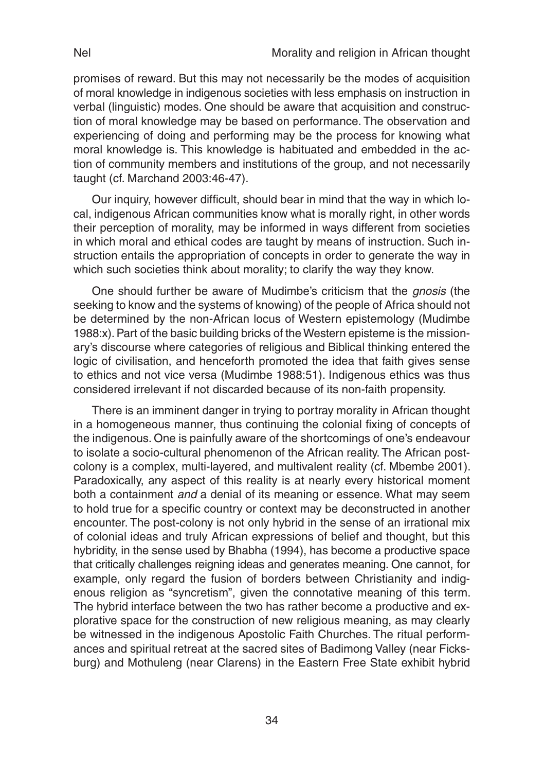promises of reward. But this may not necessarily be the modes of acquisition of moral knowledge in indigenous societies with less emphasis on instruction in verbal (linguistic) modes. One should be aware that acquisition and construction of moral knowledge may be based on performance. The observation and experiencing of doing and performing may be the process for knowing what moral knowledge is. This knowledge is habituated and embedded in the action of community members and institutions of the group, and not necessarily taught (cf. Marchand 2003:46-47).

Our inquiry, however difficult, should bear in mind that the way in which local, indigenous African communities know what is morally right, in other words their perception of morality, may be informed in ways different from societies in which moral and ethical codes are taught by means of instruction. Such instruction entails the appropriation of concepts in order to generate the way in which such societies think about morality; to clarify the way they know.

One should further be aware of Mudimbe's criticism that the *gnosis* (the seeking to know and the systems of knowing) of the people of Africa should not be determined by the non-African locus of Western epistemology (Mudimbe 1988:x). Part of the basic building bricks of the Western episteme is the missionary's discourse where categories of religious and Biblical thinking entered the logic of civilisation, and henceforth promoted the idea that faith gives sense to ethics and not vice versa (Mudimbe 1988:51). Indigenous ethics was thus considered irrelevant if not discarded because of its non-faith propensity.

There is an imminent danger in trying to portray morality in African thought in a homogeneous manner, thus continuing the colonial fixing of concepts of the indigenous. One is painfully aware of the shortcomings of one's endeavour to isolate a socio-cultural phenomenon of the African reality. The African postcolony is a complex, multi-layered, and multivalent reality (cf. Mbembe 2001). Paradoxically, any aspect of this reality is at nearly every historical moment both a containment *and* a denial of its meaning or essence. What may seem to hold true for a specific country or context may be deconstructed in another encounter. The post-colony is not only hybrid in the sense of an irrational mix of colonial ideas and truly African expressions of belief and thought, but this hybridity, in the sense used by Bhabha (1994), has become a productive space that critically challenges reigning ideas and generates meaning. One cannot, for example, only regard the fusion of borders between Christianity and indigenous religion as "syncretism", given the connotative meaning of this term. The hybrid interface between the two has rather become a productive and explorative space for the construction of new religious meaning, as may clearly be witnessed in the indigenous Apostolic Faith Churches. The ritual performances and spiritual retreat at the sacred sites of Badimong Valley (near Ficksburg) and Mothuleng (near Clarens) in the Eastern Free State exhibit hybrid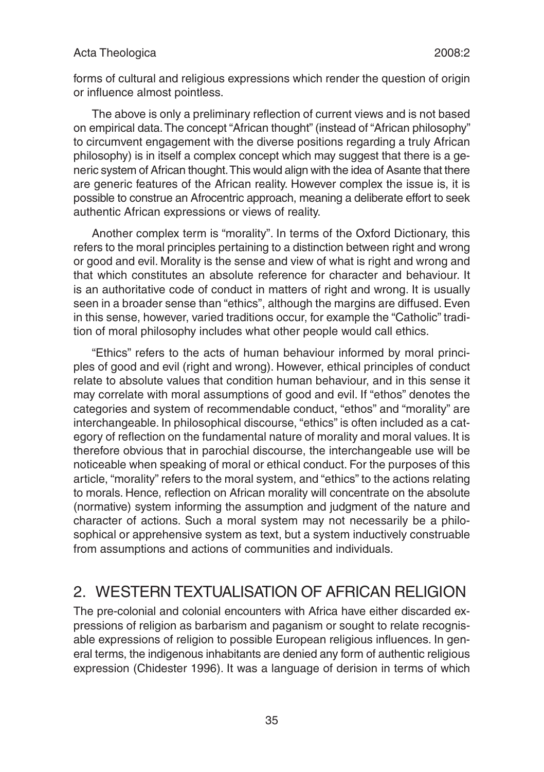#### Acta Theologica 2008:2

forms of cultural and religious expressions which render the question of origin or influence almost pointless.

The above is only a preliminary reflection of current views and is not based on empirical data. The concept "African thought" (instead of "African philosophy" to circumvent engagement with the diverse positions regarding a truly African philosophy) is in itself a complex concept which may suggest that there is a generic system of African thought. This would align with the idea of Asante that there are generic features of the African reality. However complex the issue is, it is possible to construe an Afrocentric approach, meaning a deliberate effort to seek authentic African expressions or views of reality.

Another complex term is "morality". In terms of the Oxford Dictionary, this refers to the moral principles pertaining to a distinction between right and wrong or good and evil. Morality is the sense and view of what is right and wrong and that which constitutes an absolute reference for character and behaviour. It is an authoritative code of conduct in matters of right and wrong. It is usually seen in a broader sense than "ethics", although the margins are diffused. Even in this sense, however, varied traditions occur, for example the "Catholic" tradition of moral philosophy includes what other people would call ethics.

"Ethics" refers to the acts of human behaviour informed by moral principles of good and evil (right and wrong). However, ethical principles of conduct relate to absolute values that condition human behaviour, and in this sense it may correlate with moral assumptions of good and evil. If "ethos" denotes the categories and system of recommendable conduct, "ethos" and "morality" are interchangeable. In philosophical discourse, "ethics" is often included as a category of reflection on the fundamental nature of morality and moral values. It is therefore obvious that in parochial discourse, the interchangeable use will be noticeable when speaking of moral or ethical conduct. For the purposes of this article, "morality" refers to the moral system, and "ethics" to the actions relating to morals. Hence, reflection on African morality will concentrate on the absolute (normative) system informing the assumption and judgment of the nature and character of actions. Such a moral system may not necessarily be a philosophical or apprehensive system as text, but a system inductively construable from assumptions and actions of communities and individuals.

### 2. Western textualisation of African religion

The pre-colonial and colonial encounters with Africa have either discarded expressions of religion as barbarism and paganism or sought to relate recognisable expressions of religion to possible European religious influences. In general terms, the indigenous inhabitants are denied any form of authentic religious expression (Chidester 1996). It was a language of derision in terms of which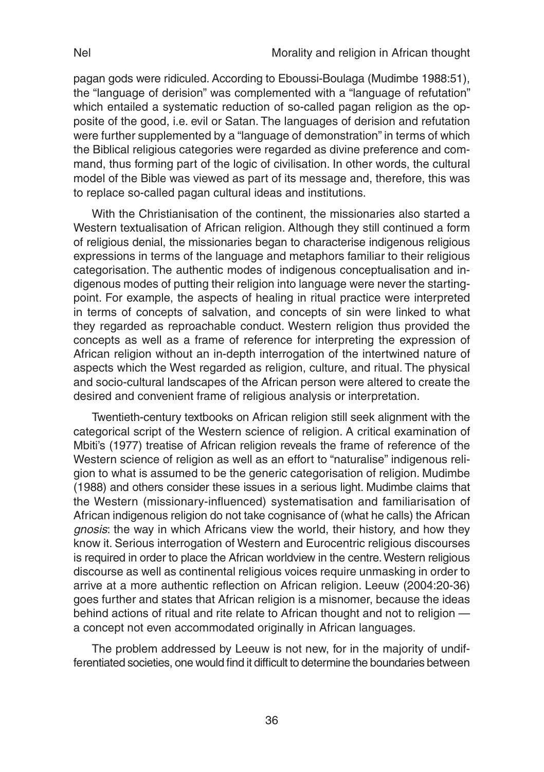pagan gods were ridiculed. According to Eboussi-Boulaga (Mudimbe 1988:51), the "language of derision" was complemented with a "language of refutation" which entailed a systematic reduction of so-called pagan religion as the opposite of the good, i.e. evil or Satan. The languages of derision and refutation were further supplemented by a "language of demonstration" in terms of which the Biblical religious categories were regarded as divine preference and command, thus forming part of the logic of civilisation. In other words, the cultural model of the Bible was viewed as part of its message and, therefore, this was to replace so-called pagan cultural ideas and institutions.

With the Christianisation of the continent, the missionaries also started a Western textualisation of African religion. Although they still continued a form of religious denial, the missionaries began to characterise indigenous religious expressions in terms of the language and metaphors familiar to their religious categorisation. The authentic modes of indigenous conceptualisation and indigenous modes of putting their religion into language were never the startingpoint. For example, the aspects of healing in ritual practice were interpreted in terms of concepts of salvation, and concepts of sin were linked to what they regarded as reproachable conduct. Western religion thus provided the concepts as well as a frame of reference for interpreting the expression of African religion without an in-depth interrogation of the intertwined nature of aspects which the West regarded as religion, culture, and ritual. The physical and socio-cultural landscapes of the African person were altered to create the desired and convenient frame of religious analysis or interpretation.

Twentieth-century textbooks on African religion still seek alignment with the categorical script of the Western science of religion. A critical examination of Mbiti's (1977) treatise of African religion reveals the frame of reference of the Western science of religion as well as an effort to "naturalise" indigenous religion to what is assumed to be the generic categorisation of religion. Mudimbe (1988) and others consider these issues in a serious light. Mudimbe claims that the Western (missionary-influenced) systematisation and familiarisation of African indigenous religion do not take cognisance of (what he calls) the African *gnosis*: the way in which Africans view the world, their history, and how they know it. Serious interrogation of Western and Eurocentric religious discourses is required in order to place the African worldview in the centre. Western religious discourse as well as continental religious voices require unmasking in order to arrive at a more authentic reflection on African religion. Leeuw (2004:20-36) goes further and states that African religion is a misnomer, because the ideas behind actions of ritual and rite relate to African thought and not to religion a concept not even accommodated originally in African languages.

The problem addressed by Leeuw is not new, for in the majority of undifferentiated societies, one would find it difficult to determine the boundaries between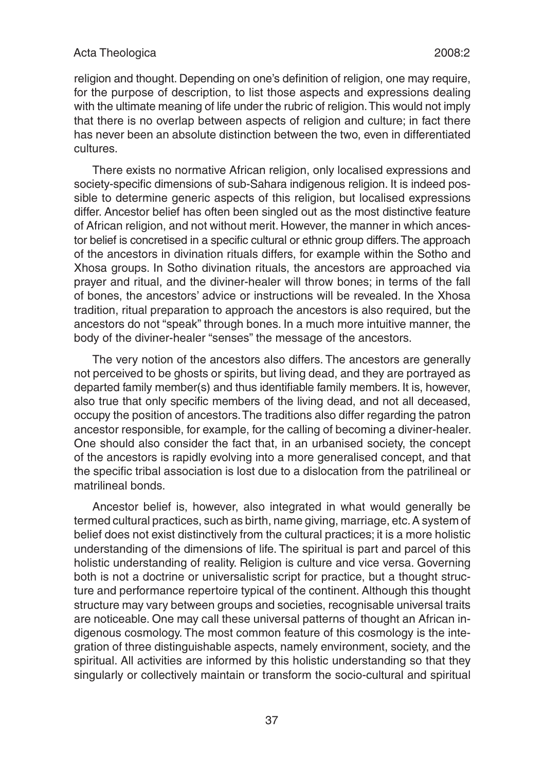religion and thought. Depending on one's definition of religion, one may require, for the purpose of description, to list those aspects and expressions dealing with the ultimate meaning of life under the rubric of religion. This would not imply that there is no overlap between aspects of religion and culture; in fact there has never been an absolute distinction between the two, even in differentiated cultures.

There exists no normative African religion, only localised expressions and society-specific dimensions of sub-Sahara indigenous religion. It is indeed possible to determine generic aspects of this religion, but localised expressions differ. Ancestor belief has often been singled out as the most distinctive feature of African religion, and not without merit. However, the manner in which ancestor belief is concretised in a specific cultural or ethnic group differs. The approach of the ancestors in divination rituals differs, for example within the Sotho and Xhosa groups. In Sotho divination rituals, the ancestors are approached via prayer and ritual, and the diviner-healer will throw bones; in terms of the fall of bones, the ancestors' advice or instructions will be revealed. In the Xhosa tradition, ritual preparation to approach the ancestors is also required, but the ancestors do not "speak" through bones. In a much more intuitive manner, the body of the diviner-healer "senses" the message of the ancestors.

The very notion of the ancestors also differs. The ancestors are generally not perceived to be ghosts or spirits, but living dead, and they are portrayed as departed family member(s) and thus identifiable family members. It is, however, also true that only specific members of the living dead, and not all deceased, occupy the position of ancestors. The traditions also differ regarding the patron ancestor responsible, for example, for the calling of becoming a diviner-healer. One should also consider the fact that, in an urbanised society, the concept of the ancestors is rapidly evolving into a more generalised concept, and that the specific tribal association is lost due to a dislocation from the patrilineal or matrilineal bonds.

Ancestor belief is, however, also integrated in what would generally be termed cultural practices, such as birth, name giving, marriage, etc. A system of belief does not exist distinctively from the cultural practices; it is a more holistic understanding of the dimensions of life. The spiritual is part and parcel of this holistic understanding of reality. Religion is culture and vice versa. Governing both is not a doctrine or universalistic script for practice, but a thought structure and performance repertoire typical of the continent. Although this thought structure may vary between groups and societies, recognisable universal traits are noticeable. One may call these universal patterns of thought an African indigenous cosmology. The most common feature of this cosmology is the integration of three distinguishable aspects, namely environment, society, and the spiritual. All activities are informed by this holistic understanding so that they singularly or collectively maintain or transform the socio-cultural and spiritual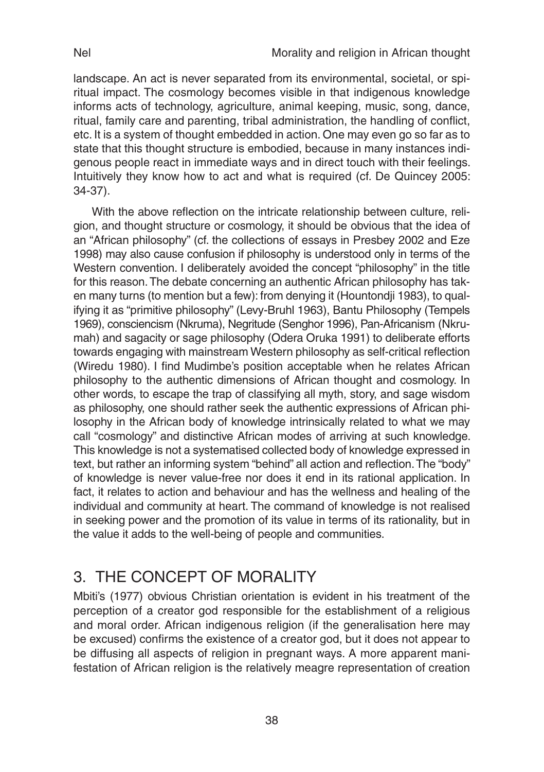landscape. An act is never separated from its environmental, societal, or spiritual impact. The cosmology becomes visible in that indigenous knowledge informs acts of technology, agriculture, animal keeping, music, song, dance, ritual, family care and parenting, tribal administration, the handling of conflict, etc. It is a system of thought embedded in action. One may even go so far as to state that this thought structure is embodied, because in many instances indigenous people react in immediate ways and in direct touch with their feelings. Intuitively they know how to act and what is required (cf. De Quincey 2005: 34-37).

With the above reflection on the intricate relationship between culture, religion, and thought structure or cosmology, it should be obvious that the idea of an "African philosophy" (cf. the collections of essays in Presbey 2002 and Eze 1998) may also cause confusion if philosophy is understood only in terms of the Western convention. I deliberately avoided the concept "philosophy" in the title for this reason. The debate concerning an authentic African philosophy has taken many turns (to mention but a few): from denying it (Hountondji 1983), to qualifying it as "primitive philosophy" (Levy-Bruhl 1963), Bantu Philosophy (Tempels 1969), consciencism (Nkruma), Negritude (Senghor 1996), Pan-Africanism (Nkrumah) and sagacity or sage philosophy (Odera Oruka 1991) to deliberate efforts towards engaging with mainstream Western philosophy as self-critical reflection (Wiredu 1980). I find Mudimbe's position acceptable when he relates African philosophy to the authentic dimensions of African thought and cosmology. In other words, to escape the trap of classifying all myth, story, and sage wisdom as philosophy, one should rather seek the authentic expressions of African philosophy in the African body of knowledge intrinsically related to what we may call "cosmology" and distinctive African modes of arriving at such knowledge. This knowledge is not a systematised collected body of knowledge expressed in text, but rather an informing system "behind" all action and reflection. The "body" of knowledge is never value-free nor does it end in its rational application. In fact, it relates to action and behaviour and has the wellness and healing of the individual and community at heart. The command of knowledge is not realised in seeking power and the promotion of its value in terms of its rationality, but in the value it adds to the well-being of people and communities.

### 3. The concept of morality

Mbiti's (1977) obvious Christian orientation is evident in his treatment of the perception of a creator god responsible for the establishment of a religious and moral order. African indigenous religion (if the generalisation here may be excused) confirms the existence of a creator god, but it does not appear to be diffusing all aspects of religion in pregnant ways. A more apparent manifestation of African religion is the relatively meagre representation of creation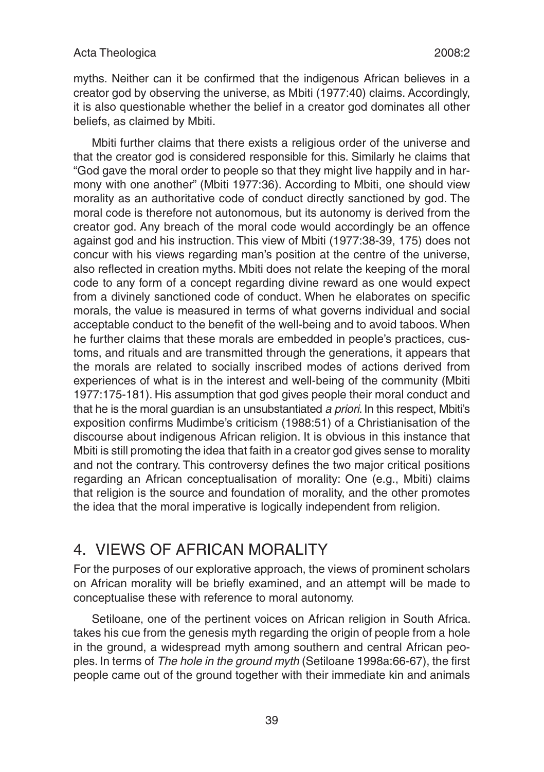myths. Neither can it be confirmed that the indigenous African believes in a creator god by observing the universe, as Mbiti (1977:40) claims. Accordingly, it is also questionable whether the belief in a creator god dominates all other beliefs, as claimed by Mbiti.

Mbiti further claims that there exists a religious order of the universe and that the creator god is considered responsible for this. Similarly he claims that "God gave the moral order to people so that they might live happily and in harmony with one another" (Mbiti 1977:36). According to Mbiti, one should view morality as an authoritative code of conduct directly sanctioned by god. The moral code is therefore not autonomous, but its autonomy is derived from the creator god. Any breach of the moral code would accordingly be an offence against god and his instruction. This view of Mbiti (1977:38-39, 175) does not concur with his views regarding man's position at the centre of the universe, also reflected in creation myths. Mbiti does not relate the keeping of the moral code to any form of a concept regarding divine reward as one would expect from a divinely sanctioned code of conduct. When he elaborates on specific morals, the value is measured in terms of what governs individual and social acceptable conduct to the benefit of the well-being and to avoid taboos. When he further claims that these morals are embedded in people's practices, customs, and rituals and are transmitted through the generations, it appears that the morals are related to socially inscribed modes of actions derived from experiences of what is in the interest and well-being of the community (Mbiti 1977:175-181). His assumption that god gives people their moral conduct and that he is the moral guardian is an unsubstantiated *a priori*. In this respect, Mbiti's exposition confirms Mudimbe's criticism (1988:51) of a Christianisation of the discourse about indigenous African religion. It is obvious in this instance that Mbiti is still promoting the idea that faith in a creator god gives sense to morality and not the contrary. This controversy defines the two major critical positions regarding an African conceptualisation of morality: One (e.g., Mbiti) claims that religion is the source and foundation of morality, and the other promotes the idea that the moral imperative is logically independent from religion.

### 4. Views of African morality

For the purposes of our explorative approach, the views of prominent scholars on African morality will be briefly examined, and an attempt will be made to conceptualise these with reference to moral autonomy.

Setiloane, one of the pertinent voices on African religion in South Africa. takes his cue from the genesis myth regarding the origin of people from a hole in the ground, a widespread myth among southern and central African peoples. In terms of *The hole in the ground myth* (Setiloane 1998a:66-67), the first people came out of the ground together with their immediate kin and animals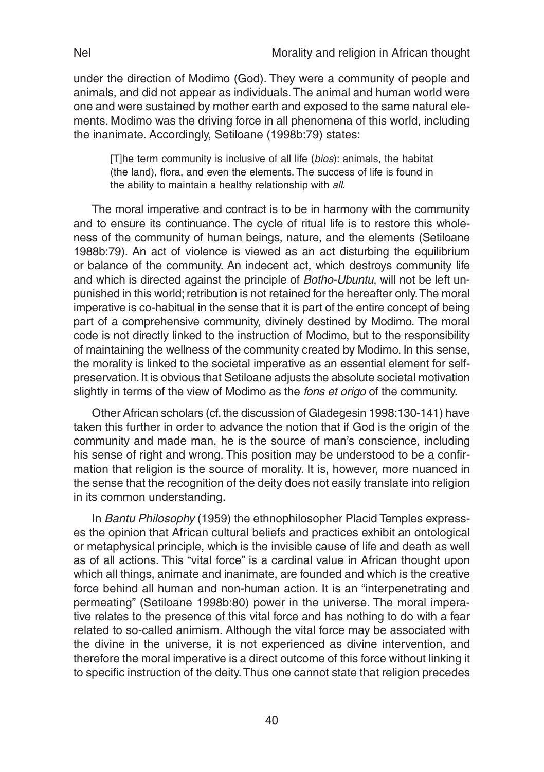under the direction of Modimo (God). They were a community of people and animals, and did not appear as individuals. The animal and human world were one and were sustained by mother earth and exposed to the same natural elements. Modimo was the driving force in all phenomena of this world, including the inanimate. Accordingly, Setiloane (1998b:79) states:

[T]he term community is inclusive of all life (*bios*): animals, the habitat (the land), flora, and even the elements. The success of life is found in the ability to maintain a healthy relationship with *all*.

The moral imperative and contract is to be in harmony with the community and to ensure its continuance. The cycle of ritual life is to restore this wholeness of the community of human beings, nature, and the elements (Setiloane 1988b:79). An act of violence is viewed as an act disturbing the equilibrium or balance of the community. An indecent act, which destroys community life and which is directed against the principle of *Botho-Ubuntu*, will not be left unpunished in this world; retribution is not retained for the hereafter only. The moral imperative is co-habitual in the sense that it is part of the entire concept of being part of a comprehensive community, divinely destined by Modimo. The moral code is not directly linked to the instruction of Modimo, but to the responsibility of maintaining the wellness of the community created by Modimo. In this sense, the morality is linked to the societal imperative as an essential element for selfpreservation. It is obvious that Setiloane adjusts the absolute societal motivation slightly in terms of the view of Modimo as the *fons et origo* of the community.

Other African scholars (cf. the discussion of Gladegesin 1998:130-141) have taken this further in order to advance the notion that if God is the origin of the community and made man, he is the source of man's conscience, including his sense of right and wrong. This position may be understood to be a confirmation that religion is the source of morality. It is, however, more nuanced in the sense that the recognition of the deity does not easily translate into religion in its common understanding.

In *Bantu Philosophy* (1959) the ethnophilosopher Placid Temples expresses the opinion that African cultural beliefs and practices exhibit an ontological or metaphysical principle, which is the invisible cause of life and death as well as of all actions. This "vital force" is a cardinal value in African thought upon which all things, animate and inanimate, are founded and which is the creative force behind all human and non-human action. It is an "interpenetrating and permeating" (Setiloane 1998b:80) power in the universe. The moral imperative relates to the presence of this vital force and has nothing to do with a fear related to so-called animism. Although the vital force may be associated with the divine in the universe, it is not experienced as divine intervention, and therefore the moral imperative is a direct outcome of this force without linking it to specific instruction of the deity. Thus one cannot state that religion precedes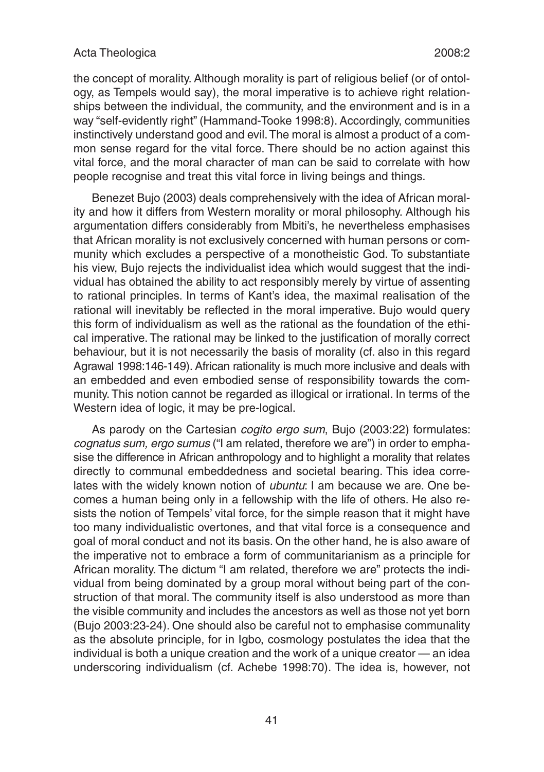#### Acta Theologica 2008:2

the concept of morality. Although morality is part of religious belief (or of ontology, as Tempels would say), the moral imperative is to achieve right relationships between the individual, the community, and the environment and is in a way "self-evidently right" (Hammand-Tooke 1998:8). Accordingly, communities instinctively understand good and evil. The moral is almost a product of a common sense regard for the vital force. There should be no action against this vital force, and the moral character of man can be said to correlate with how people recognise and treat this vital force in living beings and things.

Benezet Bujo (2003) deals comprehensively with the idea of African morality and how it differs from Western morality or moral philosophy. Although his argumentation differs considerably from Mbiti's, he nevertheless emphasises that African morality is not exclusively concerned with human persons or community which excludes a perspective of a monotheistic God. To substantiate his view, Bujo rejects the individualist idea which would suggest that the individual has obtained the ability to act responsibly merely by virtue of assenting to rational principles. In terms of Kant's idea, the maximal realisation of the rational will inevitably be reflected in the moral imperative. Bujo would query this form of individualism as well as the rational as the foundation of the ethical imperative. The rational may be linked to the justification of morally correct behaviour, but it is not necessarily the basis of morality (cf. also in this regard Agrawal 1998:146-149). African rationality is much more inclusive and deals with an embedded and even embodied sense of responsibility towards the community. This notion cannot be regarded as illogical or irrational. In terms of the Western idea of logic, it may be pre-logical.

As parody on the Cartesian *cogito ergo sum*, Bujo (2003:22) formulates: *cognatus sum, ergo sumus* ("I am related, therefore we are") in order to emphasise the difference in African anthropology and to highlight a morality that relates directly to communal embeddedness and societal bearing. This idea correlates with the widely known notion of *ubuntu*: I am because we are. One becomes a human being only in a fellowship with the life of others. He also resists the notion of Tempels' vital force, for the simple reason that it might have too many individualistic overtones, and that vital force is a consequence and goal of moral conduct and not its basis. On the other hand, he is also aware of the imperative not to embrace a form of communitarianism as a principle for African morality. The dictum "I am related, therefore we are" protects the individual from being dominated by a group moral without being part of the construction of that moral. The community itself is also understood as more than the visible community and includes the ancestors as well as those not yet born (Bujo 2003:23-24). One should also be careful not to emphasise communality as the absolute principle, for in Igbo, cosmology postulates the idea that the individual is both a unique creation and the work of a unique creator — an idea underscoring individualism (cf. Achebe 1998:70). The idea is, however, not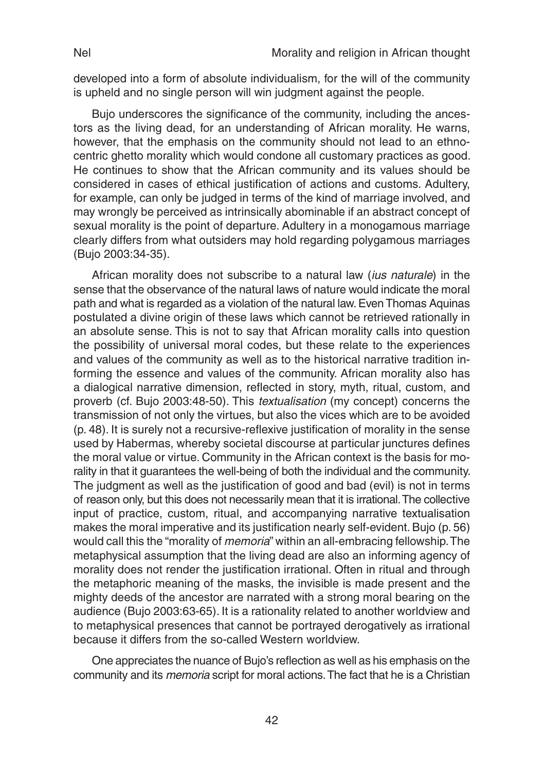developed into a form of absolute individualism, for the will of the community is upheld and no single person will win judgment against the people.

Bujo underscores the significance of the community, including the ancestors as the living dead, for an understanding of African morality. He warns, however, that the emphasis on the community should not lead to an ethnocentric ghetto morality which would condone all customary practices as good. He continues to show that the African community and its values should be considered in cases of ethical justification of actions and customs. Adultery, for example, can only be judged in terms of the kind of marriage involved, and may wrongly be perceived as intrinsically abominable if an abstract concept of sexual morality is the point of departure. Adultery in a monogamous marriage clearly differs from what outsiders may hold regarding polygamous marriages (Bujo 2003:34-35).

African morality does not subscribe to a natural law (*ius naturale*) in the sense that the observance of the natural laws of nature would indicate the moral path and what is regarded as a violation of the natural law. Even Thomas Aquinas postulated a divine origin of these laws which cannot be retrieved rationally in an absolute sense. This is not to say that African morality calls into question the possibility of universal moral codes, but these relate to the experiences and values of the community as well as to the historical narrative tradition informing the essence and values of the community. African morality also has a dialogical narrative dimension, reflected in story, myth, ritual, custom, and proverb (cf. Bujo 2003:48-50). This *textualisation* (my concept) concerns the transmission of not only the virtues, but also the vices which are to be avoided (p. 48). It is surely not a recursive-reflexive justification of morality in the sense used by Habermas, whereby societal discourse at particular junctures defines the moral value or virtue. Community in the African context is the basis for morality in that it guarantees the well-being of both the individual and the community. The judgment as well as the justification of good and bad (evil) is not in terms of reason only, but this does not necessarily mean that it is irrational. The collective input of practice, custom, ritual, and accompanying narrative textualisation makes the moral imperative and its justification nearly self-evident. Bujo (p. 56) would call this the "morality of *memoria*" within an all-embracing fellowship. The metaphysical assumption that the living dead are also an informing agency of morality does not render the justification irrational. Often in ritual and through the metaphoric meaning of the masks, the invisible is made present and the mighty deeds of the ancestor are narrated with a strong moral bearing on the audience (Bujo 2003:63-65). It is a rationality related to another worldview and to metaphysical presences that cannot be portrayed derogatively as irrational because it differs from the so-called Western worldview.

One appreciates the nuance of Bujo's reflection as well as his emphasis on the community and its *memoria* script for moral actions. The fact that he is a Christian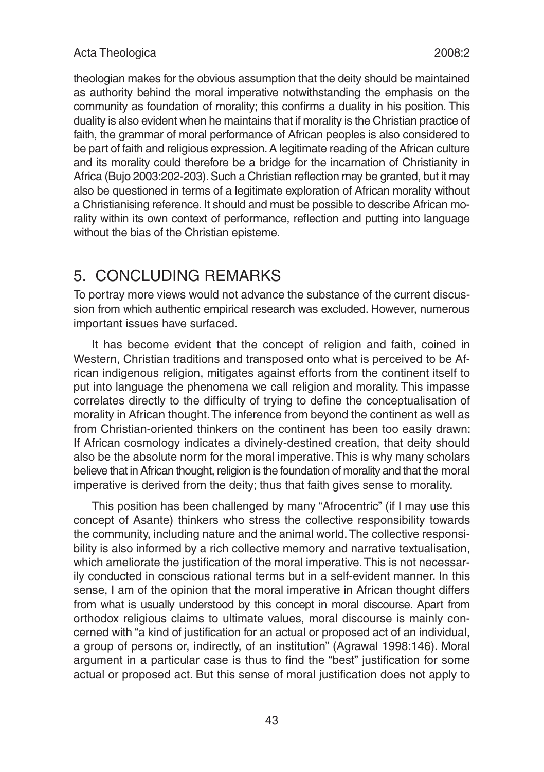theologian makes for the obvious assumption that the deity should be maintained as authority behind the moral imperative notwithstanding the emphasis on the community as foundation of morality; this confirms a duality in his position. This duality is also evident when he maintains that if morality is the Christian practice of faith, the grammar of moral performance of African peoples is also considered to be part of faith and religious expression. A legitimate reading of the African culture and its morality could therefore be a bridge for the incarnation of Christianity in Africa (Bujo 2003:202-203). Such a Christian reflection may be granted, but it may also be questioned in terms of a legitimate exploration of African morality without a Christianising reference. It should and must be possible to describe African morality within its own context of performance, reflection and putting into language without the bias of the Christian episteme.

### 5. Concluding remarks

To portray more views would not advance the substance of the current discussion from which authentic empirical research was excluded. However, numerous important issues have surfaced.

It has become evident that the concept of religion and faith, coined in Western, Christian traditions and transposed onto what is perceived to be African indigenous religion, mitigates against efforts from the continent itself to put into language the phenomena we call religion and morality. This impasse correlates directly to the difficulty of trying to define the conceptualisation of morality in African thought. The inference from beyond the continent as well as from Christian-oriented thinkers on the continent has been too easily drawn: If African cosmology indicates a divinely-destined creation, that deity should also be the absolute norm for the moral imperative. This is why many scholars believe that in African thought, religion is the foundation of morality and that the moral imperative is derived from the deity; thus that faith gives sense to morality.

This position has been challenged by many "Afrocentric" (if I may use this concept of Asante) thinkers who stress the collective responsibility towards the community, including nature and the animal world. The collective responsibility is also informed by a rich collective memory and narrative textualisation, which ameliorate the justification of the moral imperative. This is not necessarily conducted in conscious rational terms but in a self-evident manner. In this sense, I am of the opinion that the moral imperative in African thought differs from what is usually understood by this concept in moral discourse. Apart from orthodox religious claims to ultimate values, moral discourse is mainly concerned with "a kind of justification for an actual or proposed act of an individual, a group of persons or, indirectly, of an institution" (Agrawal 1998:146). Moral argument in a particular case is thus to find the "best" justification for some actual or proposed act. But this sense of moral justification does not apply to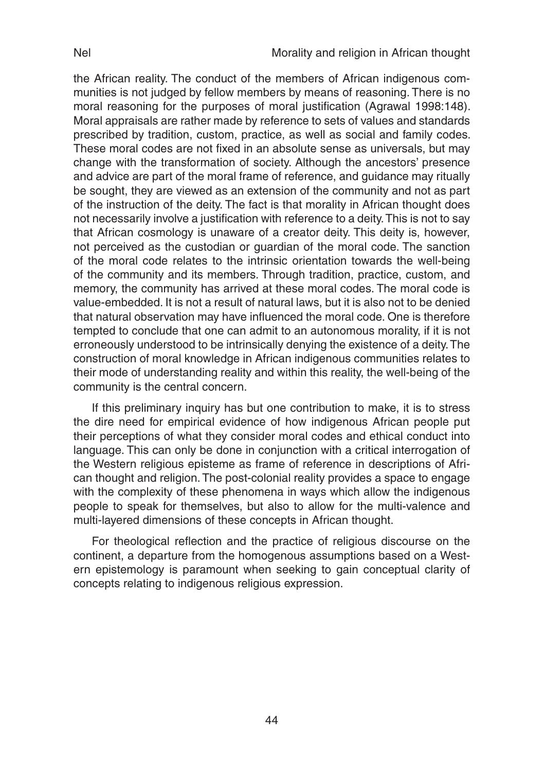the African reality. The conduct of the members of African indigenous communities is not judged by fellow members by means of reasoning. There is no moral reasoning for the purposes of moral justification (Agrawal 1998:148). Moral appraisals are rather made by reference to sets of values and standards prescribed by tradition, custom, practice, as well as social and family codes. These moral codes are not fixed in an absolute sense as universals, but may change with the transformation of society. Although the ancestors' presence and advice are part of the moral frame of reference, and guidance may ritually be sought, they are viewed as an extension of the community and not as part of the instruction of the deity. The fact is that morality in African thought does not necessarily involve a justification with reference to a deity. This is not to say that African cosmology is unaware of a creator deity. This deity is, however, not perceived as the custodian or guardian of the moral code. The sanction of the moral code relates to the intrinsic orientation towards the well-being of the community and its members. Through tradition, practice, custom, and memory, the community has arrived at these moral codes. The moral code is value-embedded. It is not a result of natural laws, but it is also not to be denied that natural observation may have influenced the moral code. One is therefore tempted to conclude that one can admit to an autonomous morality, if it is not erroneously understood to be intrinsically denying the existence of a deity. The construction of moral knowledge in African indigenous communities relates to their mode of understanding reality and within this reality, the well-being of the community is the central concern.

If this preliminary inquiry has but one contribution to make, it is to stress the dire need for empirical evidence of how indigenous African people put their perceptions of what they consider moral codes and ethical conduct into language. This can only be done in conjunction with a critical interrogation of the Western religious episteme as frame of reference in descriptions of African thought and religion. The post-colonial reality provides a space to engage with the complexity of these phenomena in ways which allow the indigenous people to speak for themselves, but also to allow for the multi-valence and multi-layered dimensions of these concepts in African thought.

For theological reflection and the practice of religious discourse on the continent, a departure from the homogenous assumptions based on a Western epistemology is paramount when seeking to gain conceptual clarity of concepts relating to indigenous religious expression.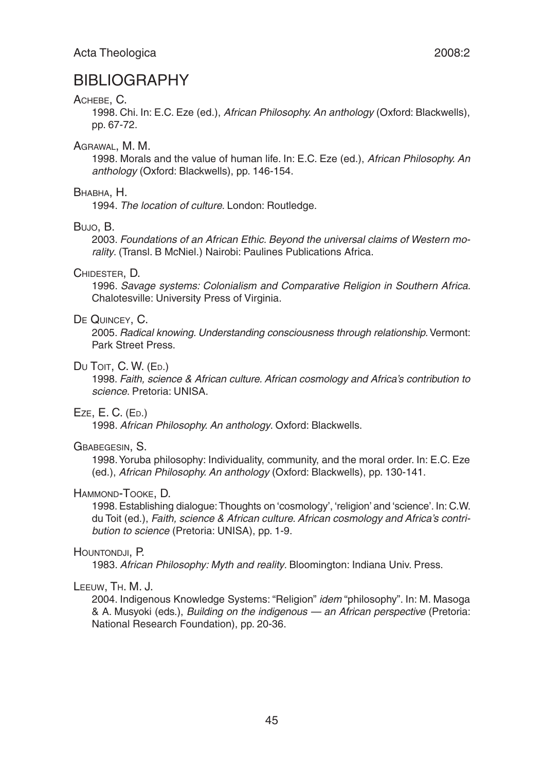### **BIBI IOGRAPHY**

#### ACHEBE, C.

1998. Chi. In: E.C. Eze (ed.), *African Philosophy. An anthology* (Oxford: Blackwells), pp. 67-72.

#### Agrawal, M. M.

1998. Morals and the value of human life. In: E.C. Eze (ed.), *African Philosophy. An anthology* (Oxford: Blackwells), pp. 146-154.

#### Bhabha, H.

1994. *The location of culture*. London: Routledge.

#### Bujo, B.

2003. *Foundations of an African Ethic. Beyond the universal claims of Western morality*. (Transl. B McNiel.) Nairobi: Paulines Publications Africa.

#### Chidester, D.

1996. *Savage systems: Colonialism and Comparative Religion in Southern Africa*. Chalotesville: University Press of Virginia.

#### De Quincey, C.

2005. *Radical knowing. Understanding consciousness through relationship*. Vermont: Park Street Press.

#### $D<sub>U</sub>$  Toit, C. W. (Ed.)

1998. *Faith, science & African culture. African cosmology and Africa's contribution to science*. Pretoria: UNISA.

#### Eze, E. C. (E<sub>D.</sub>)

1998. *African Philosophy. An anthology*. Oxford: Blackwells.

#### Gbabegesin, S.

1998. Yoruba philosophy: Individuality, community, and the moral order. In: E.C. Eze (ed.), *African Philosophy. An anthology* (Oxford: Blackwells), pp. 130-141.

#### Hammond-Tooke, D.

1998. Establishing dialogue: Thoughts on 'cosmology', 'religion' and 'science'. In: C.W. du Toit (ed.), *Faith, science & African culture. African cosmology and Africa's contribution to science* (Pretoria: UNISA), pp. 1-9.

#### HOUNTONDJI, P.

1983. *African Philosophy: Myth and reality*. Bloomington: Indiana Univ. Press.

#### Leeuw, Th. M. J.

2004. Indigenous Knowledge Systems: "Religion" *idem* "philosophy". In: M. Masoga & A. Musyoki (eds.), *Building on the indigenous — an African perspective* (Pretoria: National Research Foundation), pp. 20-36.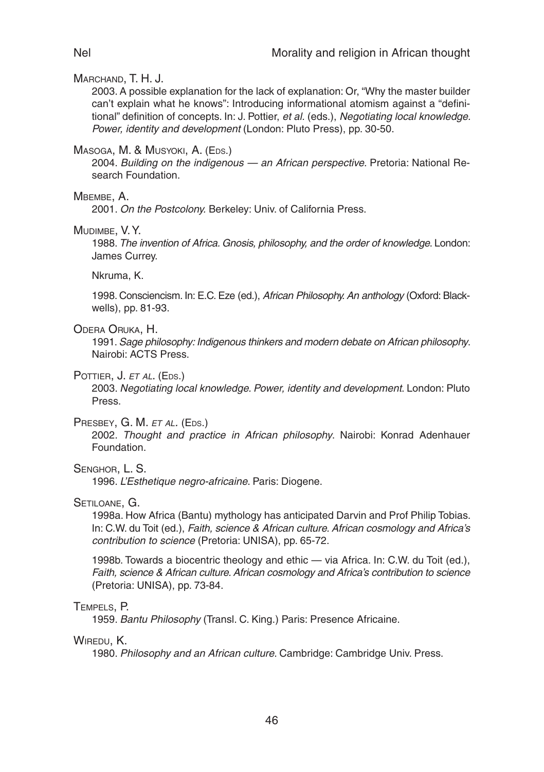#### Marchand, T. H. J.

2003. A possible explanation for the lack of explanation: Or, "Why the master builder can't explain what he knows": Introducing informational atomism against a "definitional" definition of concepts. In: J. Pottier, *et al.* (eds.), *Negotiating local knowledge. Power, identity and development* (London: Pluto Press), pp. 30-50.

#### Masoga, M. & Musyoki, A. (Eds.)

2004. *Building on the indigenous — an African perspective*. Pretoria: National Research Foundation.

#### MBEMBE, A.

2001. *On the Postcolony.* Berkeley: Univ. of California Press.

#### Mudimbe, V. Y.

1988. *The invention of Africa. Gnosis, philosophy, and the order of knowledge*. London: James Currey.

Nkruma, K.

1998. Consciencism. In: E.C. Eze (ed.), *African Philosophy. An anthology* (Oxford: Blackwells), pp. 81-93.

#### Odera Oruka, H.

1991. *Sage philosophy: Indigenous thinkers and modern debate on African philosophy*. Nairobi: ACTS Press.

#### POTTIER. J. *ET AL.* (EDS.)

2003. *Negotiating local knowledge. Power, identity and development*. London: Pluto Press.

#### PRESBEY, G. M. *ET AL.* (EDS.)

2002. *Thought and practice in African philosophy*. Nairobi: Konrad Adenhauer Foundation.

#### Senghor, L. S.

1996. *L'Esthetique negro-africaine*. Paris: Diogene.

#### SETILOANE, G.

1998a. How Africa (Bantu) mythology has anticipated Darvin and Prof Philip Tobias. In: C.W. du Toit (ed.), *Faith, science & African culture. African cosmology and Africa's contribution to science* (Pretoria: UNISA), pp. 65-72.

1998b. Towards a biocentric theology and ethic — via Africa. In: C.W. du Toit (ed.), *Faith, science & African culture. African cosmology and Africa's contribution to science* (Pretoria: UNISA), pp. 73-84.

#### Tempels, P.

1959. *Bantu Philosophy* (Transl. C. King.) Paris: Presence Africaine.

#### WIREDU K.

1980. *Philosophy and an African culture*. Cambridge: Cambridge Univ. Press.